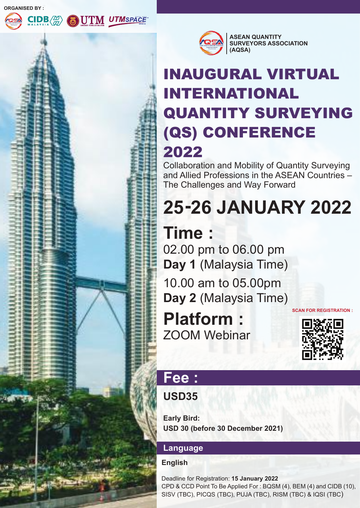**ORGANISED BY :**





## INAUGURAL VIRTUAL INTERNATIONAL QUANTITY SURVEYING (QS) CONFERENCE 2022

Collaboration and Mobility of Quantity Surveying and Allied Professions in the ASEAN Countries – The Challenges and Way Forward

# **25-26 JANUARY 2022**

## **Time :**

02.00 pm to 06.00 pm **Day 1** (Malaysia Time)

10.00 am to 05.00pm **Day 2** (Malaysia Time)

ZOOM Webinar **Platform :**





## **Fee :**

#### **USD35**

**Early Bird: USD 30 (before 30 December 2021)**

#### **Language**

#### **English**

Deadline for Registration: **15 January 2022** CPD & CCD Point To Be Applied For : BQSM (4), BEM (4) and CIDB (10), SISV (TBC), PICQS (TBC), PUJA (TBC), RISM (TBC) & IQSI (TBC)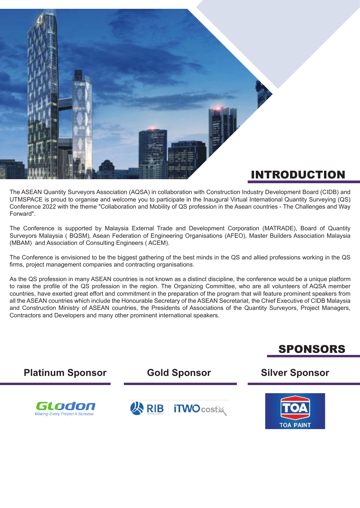

The ASEAN Quantity Surveyors Association (AQSA) in collaboration with Construction Industry Development Board (CIDB) and UTMSPACE is proud to organise and welcome you to participate in the Inaugural Virtual International Quantity Surveying (QS) Conference 2022 with the theme "Collaboration and Mobility of QS profession in the Asean countries - The Challenges and Way Forward".

The Conference is supported by Malaysia External Trade and Development Corporation (MATRADE), Board of Quantity Surveyors Malaysia ( BQSM), Asean Federation of Engineering Organisations (AFEO), Master Builders Association Malaysia (MBAM) and Association of Consulting Engineers ( ACEM).

The Conference is envisioned to be the biggest gathering of the best minds in the QS and allied professions working in the QS firms, project management companies and contracting organisations.

As the QS profession in many ASEAN countries is not known as a distinct discipline, the conference would be a unique platform to raise the profile of the QS profession in the region. The Organizing Committee, who are all volunteers of AQSA member countries, have exerted great effort and commitment in the preparation of the program that will feature prominent speakers from all the ASEAN countries which include the Honourable Secretary of the ASEAN Secretariat, the Chief Executive of CIDB Malaysia and Construction Ministry of ASEAN countries, the Presidents of Associations of the Quantity Surveyors, Project Managers, Contractors and Developers and many other prominent international speakers.



SPONSORS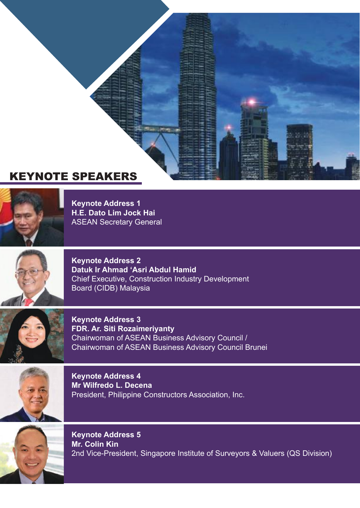## KEYNOTE SPEAKERS



**Keynote Address 1 H.E. Dato Lim Jock Hai**  ASEAN Secretary General



**Keynote Address 2 Datuk Ir Ahmad 'Asri Abdul Hamid**  Chief Executive, Construction Industry Development Board (CIDB) Malaysia



**Keynote Address 3 FDR. Ar. Siti Rozaimeriyanty** Chairwoman of ASEAN Business Advisory Council / Chairwoman of ASEAN Business Advisory Council Brunei



**Keynote Address 4 Mr Wilfredo L. Decena** President, Philippine Constructors Association, Inc.



**Keynote Address 5 Mr. Colin Kin** 2nd Vice-President, Singapore Institute of Surveyors & Valuers (QS Division)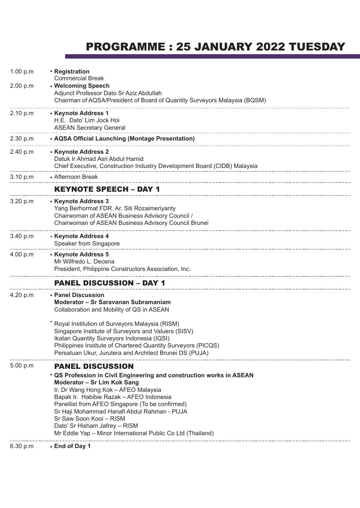### PROGRAMME : 25 JANUARY 2022 TUESDAY

|                      | Sr Saw Soon Kooi - RISM<br>Dato' Sr Hisham Jafrey - RISM<br>Mr Eddie Yap - Minor International Public Co Ltd (Thailand)                                                                                                                                                                   |
|----------------------|-------------------------------------------------------------------------------------------------------------------------------------------------------------------------------------------------------------------------------------------------------------------------------------------|
|                      | " QS Profession in Civil Engineering and construction works in ASEAN<br>Moderator - Sr Lim Kok Sang<br>Ir. Dr Wang Hong Kok - AFEO Malaysia<br>Bapak Ir. Habibie Razak - AFEO Indonesia<br>Panellist from AFEO Singapore (To be confirmed)<br>Sr Haji Mohammad Hanafi Abdul Rahman - PUJA |
| 5.00 p.m             | <b>PANEL DISCUSSION</b>                                                                                                                                                                                                                                                                   |
|                      | " Royal Institution of Surveyors Malaysia (RISM)<br>Singapore Institute of Surveyors and Valuers (SISV)<br>Ikatan Quantity Surveyors Indonesia (IQSI)<br>Philippines Institute of Chartered Quantity Surveyors (PICQS)<br>Persatuan Ukur, Jurutera and Architect Brunei DS (PUJA)         |
| 4.20 p.m             | - Panel Discussion<br>Moderator - Sr Saravanan Subramaniam<br>Collaboration and Mobility of QS in ASEAN                                                                                                                                                                                   |
|                      | <b>PANEL DISCUSSION - DAY 1</b>                                                                                                                                                                                                                                                           |
| 4.00 p.m             | - Keynote Address 5<br>Mr Wilfredo L. Decena<br>President, Philippine Constructors Association, Inc.                                                                                                                                                                                      |
| 3.40 p.m             | - Keynote Address 4<br>Speaker from Singapore                                                                                                                                                                                                                                             |
| 3.20 p.m             | - Keynote Address 3<br>Yang Berhormat FDR. Ar. Siti Rozaimeriyanty<br>Chairwoman of ASEAN Business Advisory Council /<br>Chairwoman of ASEAN Business Advisory Council Brunei                                                                                                             |
|                      | <b>KEYNOTE SPEECH - DAY 1</b>                                                                                                                                                                                                                                                             |
| 3.10 p.m             | Chief Executive, Construction Industry Development Board (CIDB) Malaysia<br>- Afternoon Break                                                                                                                                                                                             |
| 2.40 p.m             | - Keynote Address 2<br>Datuk Ir Ahmad Asri Abdul Hamid                                                                                                                                                                                                                                    |
| 2.30 p.m             | - AQSA Official Launching (Montage Presentation)                                                                                                                                                                                                                                          |
| 2.10 p.m             | - Keynote Address 1<br>H.E. Dato' Lim Jock Hoi<br><b>ASEAN Secretary General</b>                                                                                                                                                                                                          |
| 1.00 p.m<br>2.00 p.m | - Registration<br><b>Commercial Break</b><br>- Welcoming Speech<br>Adjunct Professor Dato Sr Aziz Abdullah<br>Chairman of AQSA/President of Board of Quantity Surveyors Malaysia (BQSM)                                                                                                   |
|                      |                                                                                                                                                                                                                                                                                           |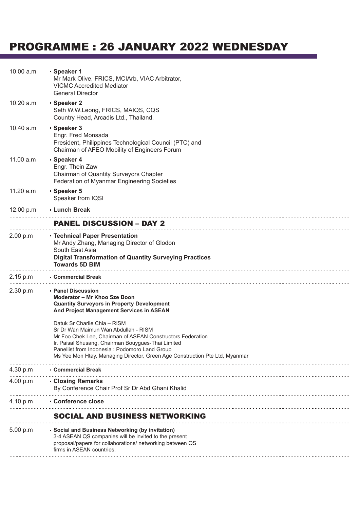### PROGRAMME : 26 JANUARY 2022 WEDNESDAY

| 10.00 a.m | - Speaker 1<br>Mr Mark Olive, FRICS, MCIArb, VIAC Arbitrator,<br><b>VICMC Accredited Mediator</b><br><b>General Director</b>                                                                                                                                                                                              |
|-----------|---------------------------------------------------------------------------------------------------------------------------------------------------------------------------------------------------------------------------------------------------------------------------------------------------------------------------|
| 10.20 a.m | - Speaker 2<br>Seth W.W.Leong, FRICS, MAIQS, CQS<br>Country Head, Arcadis Ltd., Thailand.                                                                                                                                                                                                                                 |
| 10.40 a.m | - Speaker 3<br>Engr. Fred Monsada<br>President, Philippines Technological Council (PTC) and<br>Chairman of AFEO Mobility of Engineers Forum                                                                                                                                                                               |
| 11.00 a.m | Speaker 4<br>Engr. Thein Zaw<br>Chairman of Quantity Surveyors Chapter<br>Federation of Myanmar Engineering Societies                                                                                                                                                                                                     |
| 11.20 a.m | - Speaker 5<br>Speaker from IQSI                                                                                                                                                                                                                                                                                          |
| 12.00 p.m | - Lunch Break                                                                                                                                                                                                                                                                                                             |
|           | <b>PANEL DISCUSSION - DAY 2</b>                                                                                                                                                                                                                                                                                           |
| 2.00 p.m  | - Technical Paper Presentation<br>Mr Andy Zhang, Managing Director of Glodon<br>South East Asia<br><b>Digital Transformation of Quantity Surveying Practices</b><br><b>Towards 5D BIM</b>                                                                                                                                 |
| 2.15 p.m  | ■ Commercial Break                                                                                                                                                                                                                                                                                                        |
| 2.30 p.m  | - Panel Discussion<br>Moderator - Mr Khoo Sze Boon<br><b>Quantity Surveyors in Property Development</b><br>And Project Management Services in ASEAN                                                                                                                                                                       |
|           | Datuk Sr Charlie Chia - RISM<br>Sr Dr Wan Maimun Wan Abdullah - RISM<br>Mr Foo Chek Lee. Chairman of ASEAN Constructors Federation<br>Ir. Paisal Shusang, Chairman Bouygues-Thai Limited<br>Panellist from Indonesia : Podomoro Land Group<br>Ms Yee Mon Htay, Managing Director, Green Age Construction Pte Ltd, Myanmar |
| 4.30 p.m  | <b>- Commercial Break</b>                                                                                                                                                                                                                                                                                                 |
| 4.00 p.m  | - Closing Remarks<br>By Conference Chair Prof Sr Dr Abd Ghani Khalid                                                                                                                                                                                                                                                      |
| 4.10 p.m  | - Conference close                                                                                                                                                                                                                                                                                                        |
|           | <b>SOCIAL AND BUSINESS NETWORKING</b>                                                                                                                                                                                                                                                                                     |
| 5.00 p.m  | • Social and Business Networking (by invitation)<br>3-4 ASEAN QS companies will be invited to the present<br>proposal/papers for collaborations/ networking between QS<br>firms in ASEAN countries.                                                                                                                       |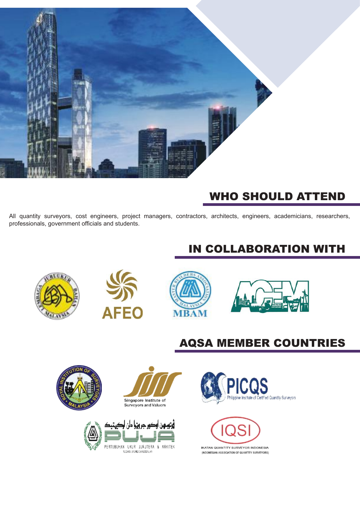

## WHO SHOULD ATTEND

All quantity surveyors, cost engineers, project managers, contractors, architects, engineers, academicians, researchers, professionals, government officials and students.

## IN COLLABORATION WITH









## AQSA MEMBER COUNTRIES

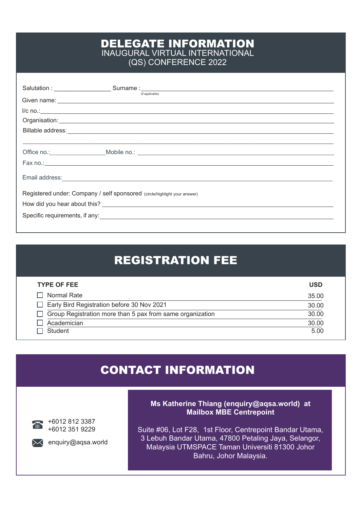#### DELEGATE INFORMATION INAUGURAL VIRTUAL INTERNATIONAL (QS) CONFERENCE 2022

|                                                                                                                                                                                                                                      | (if applicable)                                     |  |  |  |
|--------------------------------------------------------------------------------------------------------------------------------------------------------------------------------------------------------------------------------------|-----------------------------------------------------|--|--|--|
|                                                                                                                                                                                                                                      | $\frac{1}{c}$ no.: $\frac{1}{c}$ no.: $\frac{1}{c}$ |  |  |  |
|                                                                                                                                                                                                                                      |                                                     |  |  |  |
|                                                                                                                                                                                                                                      |                                                     |  |  |  |
|                                                                                                                                                                                                                                      |                                                     |  |  |  |
|                                                                                                                                                                                                                                      |                                                     |  |  |  |
|                                                                                                                                                                                                                                      | Fax no.: $\overline{\phantom{a}}$                   |  |  |  |
| Email address: <u>contract and a series of the series of the series of the series of the series of the series of the series of the series of the series of the series of the series of the series of the series of the series of</u> |                                                     |  |  |  |
| Registered under: Company / self sponsored (circle/highlight your answer)                                                                                                                                                            |                                                     |  |  |  |
| How did you hear about this? Notice that the state of the state of the state of the state of the state of the state of the state of the state of the state of the state of the state of the state of the state of the state of       |                                                     |  |  |  |
|                                                                                                                                                                                                                                      |                                                     |  |  |  |
|                                                                                                                                                                                                                                      |                                                     |  |  |  |

## REGISTRATION FEE

| <b>TYPE OF FEE</b>                                        | <b>USD</b> |
|-----------------------------------------------------------|------------|
| Normal Rate                                               | 35.00      |
| Early Bird Registration before 30 Nov 2021                | 30.00      |
| Group Registration more than 5 pax from same organization | 30.00      |
| Academician                                               | 30.00      |
| Student                                                   | 5.00       |

#### CONTACT INFORMATION



+6012 812 3387 +6012 351 9229



 $\lambda$  enquiry@aqsa.world

#### **Ms Katherine Thiang (enquiry@aqsa.world) at Mailbox MBE Centrepoint**

Suite #06, Lot F28, 1st Floor, Centrepoint Bandar Utama, 3 Lebuh Bandar Utama, 47800 Petaling Jaya, Selangor, Malaysia UTMSPACE Taman Universiti 81300 Johor Bahru, Johor Malaysia.